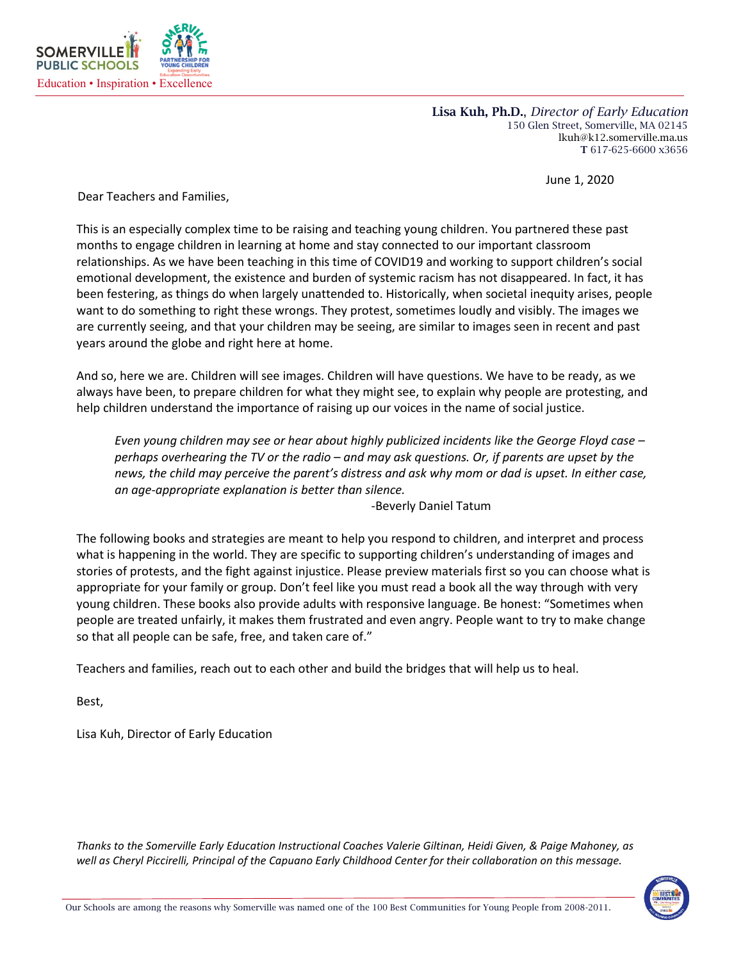

Lisa Kuh, Ph.D., *Director of Early Education* 150 Glen Street, Somerville, MA 02145 lkuh@k12.somerville.ma.us T 617-625-6600 x3656

June 1, 2020

Dear Teachers and Families,

This is an especially complex time to be raising and teaching young children. You partnered these past months to engage children in learning at home and stay connected to our important classroom relationships. As we have been teaching in this time of COVID19 and working to support children's social emotional development, the existence and burden of systemic racism has not disappeared. In fact, it has been festering, as things do when largely unattended to. Historically, when societal inequity arises, people want to do something to right these wrongs. They protest, sometimes loudly and visibly. The images we are currently seeing, and that your children may be seeing, are similar to images seen in recent and past years around the globe and right here at home.

And so, here we are. Children will see images. Children will have questions. We have to be ready, as we always have been, to prepare children for what they might see, to explain why people are protesting, and help children understand the importance of raising up our voices in the name of social justice.

*Even young children may see or hear about highly publicized incidents like the George Floyd case – perhaps overhearing the TV or the radio – and may ask questions. Or, if parents are upset by the news, the child may perceive the parent's distress and ask why mom or dad is upset. In either case, an age-appropriate explanation is better than silence.* 

-Beverly Daniel Tatum

The following books and strategies are meant to help you respond to children, and interpret and process what is happening in the world. They are specific to supporting children's understanding of images and stories of protests, and the fight against injustice. Please preview materials first so you can choose what is appropriate for your family or group. Don't feel like you must read a book all the way through with very young children. These books also provide adults with responsive language. Be honest: "Sometimes when people are treated unfairly, it makes them frustrated and even angry. People want to try to make change so that all people can be safe, free, and taken care of."

Teachers and families, reach out to each other and build the bridges that will help us to heal.

Best,

Lisa Kuh, Director of Early Education

*Thanks to the Somerville Early Education Instructional Coaches Valerie Giltinan, Heidi Given, & Paige Mahoney, as*  well as Cheryl Piccirelli, Principal of the Capuano Early Childhood Center for their collaboration on this message.

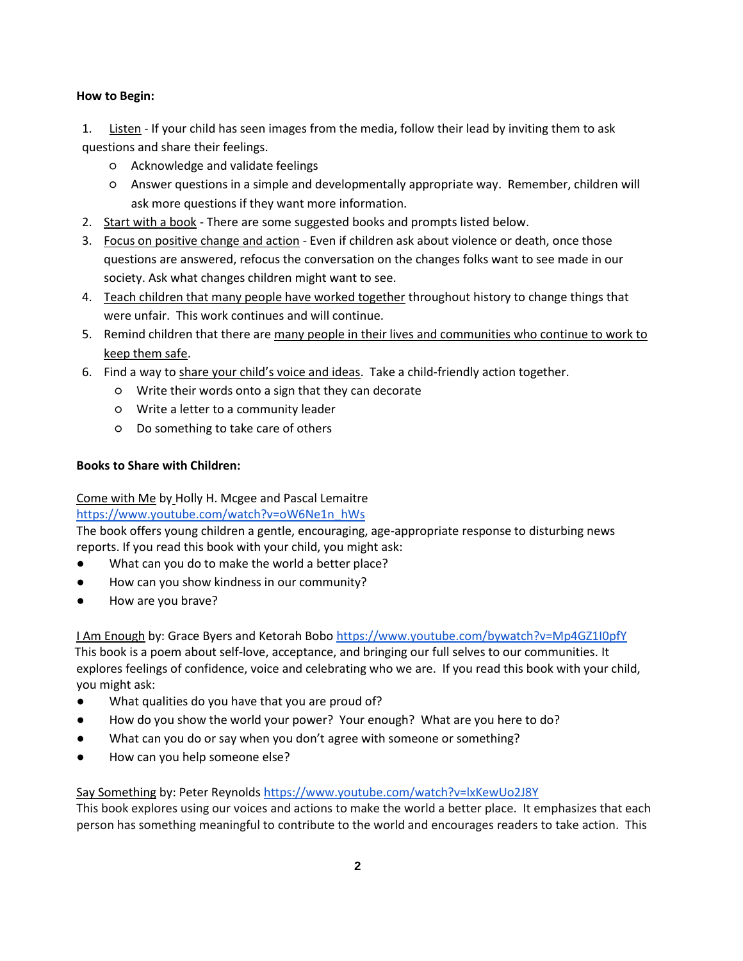#### **How to Begin:**

1. Listen - If your child has seen images from the media, follow their lead by inviting them to ask questions and share their feelings.

- Acknowledge and validate feelings
- Answer questions in a simple and developmentally appropriate way. Remember, children will ask more questions if they want more information.
- 2. Start with a book There are some suggested books and prompts listed below.
- 3. Focus on positive change and action Even if children ask about violence or death, once those questions are answered, refocus the conversation on the changes folks want to see made in our society. Ask what changes children might want to see.
- 4. Teach children that many people have worked together throughout history to change things that were unfair. This work continues and will continue.
- 5. Remind children that there are many people in their lives and communities who continue to work to keep them safe.
- 6. Find a way to share your child's voice and ideas. Take a child-friendly action together.
	- Write their words onto a sign that they can decorate
	- Write a letter to a community leader
	- Do something to take care of others

#### **Books to Share with Children:**

# Come with Me by Holly H. Mcgee and Pascal Lemaitre

# [https://www.youtube.com/watch?v=oW6Ne1n\\_hWs](https://www.youtube.com/watch?v=oW6Ne1n_hWs)

The book offers young children a gentle, encouraging, age-appropriate response to disturbing news reports. If you read this book with your child, you might ask:

- What can you do to make the world a better place?
- How can you show kindness in our community?
- How are you brave?

I Am Enough by: Grace Byers and Ketorah Bobo [https://www.youtube.com/bywatch?v=Mp4GZ1I0pfY](https://www.youtube.com/watch?v=Mp4GZ1I0pfY) This book is a poem about self-love, acceptance, and bringing our full selves to our communities. It explores feelings of confidence, voice and celebrating who we are. If you read this book with your child, you might ask:

- What qualities do you have that you are proud of?
- How do you show the world your power? Your enough? What are you here to do?
- What can you do or say when you don't agree with someone or something?
- How can you help someone else?

### Say Something by: Peter Reynolds <https://www.youtube.com/watch?v=lxKewUo2J8Y>

This book explores using our voices and actions to make the world a better place. It emphasizes that each person has something meaningful to contribute to the world and encourages readers to take action. This